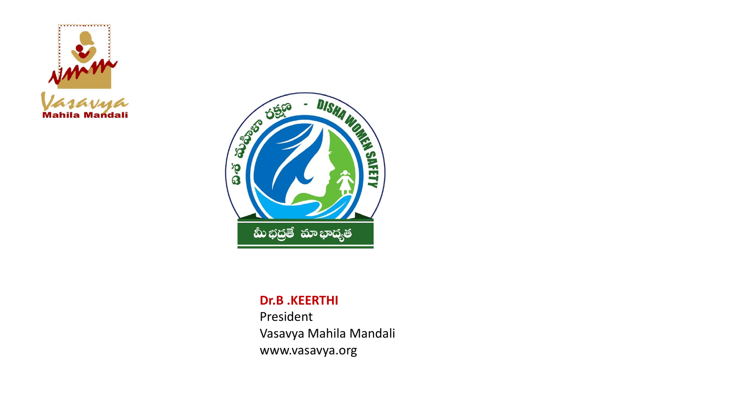



#### **Dr.B .KEERTHI**

President Vasavya Mahila Mandali www.vasavya.org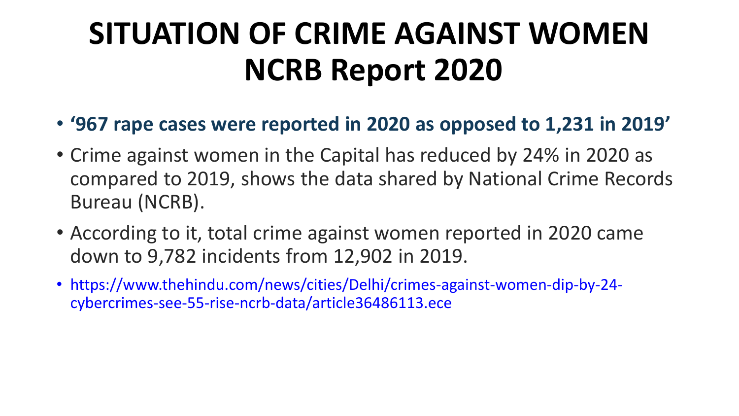# **SITUATION OF CRIME AGAINST WOMEN NCRB Report 2020**

- **'967 rape cases were reported in 2020 as opposed to 1,231 in 2019'**
- Crime against women in the Capital has reduced by 24% in 2020 as compared to 2019, shows the data shared by National Crime Records Bureau (NCRB).
- According to it, total crime against women reported in 2020 came down to 9,782 incidents from 12,902 in 2019.
- https://www.thehindu.com/news/cities/Delhi/crimes-against-women-dip-by-24 cybercrimes-see-55-rise-ncrb-data/article36486113.ece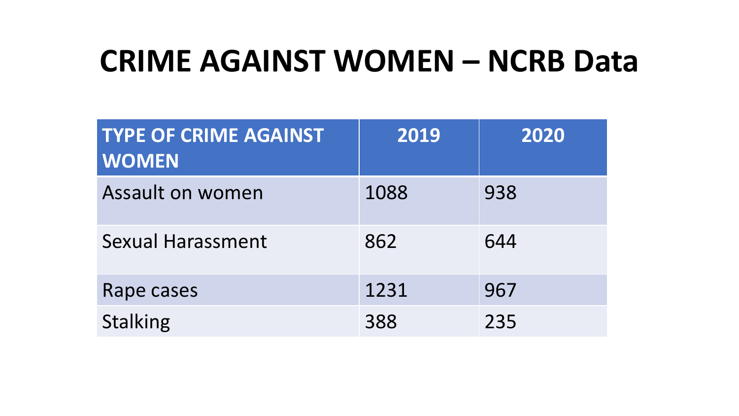#### **CRIME AGAINST WOMEN – NCRB Data**

| <b>TYPE OF CRIME AGAINST</b><br><b>WOMEN</b> | 2019 | 2020 |
|----------------------------------------------|------|------|
| Assault on women                             | 1088 | 938  |
| <b>Sexual Harassment</b>                     | 862  | 644  |
| Rape cases                                   | 1231 | 967  |
| <b>Stalking</b>                              | 388  | 235  |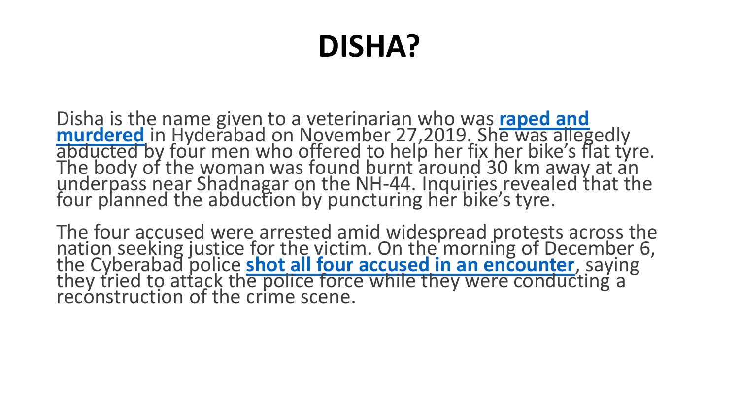# **DISHA?**

Disha is the name given to a veterinarian who was **raped and murdered** [in Hyderabad on November 27,2019. She was alleg](https://indianexpress.com/article/india/hyderabad-vet-rape-murder-case-a-timeline-of-events-since-november-27-6153281/)edly abducted by four men who offered to help her fix her bike's flat tyre. The body of the woman was found burnt around 30 km away at an underpass near Shadnagar on the NH-44. Inquiries revealed that the four planned the abduction by puncturing her bike's tyre.

The four accused were arrested amid widespread protests across the nation seeking justice for the victim. On the morning of December 6, the Cyberabad police **[shot all four accused in an encounter](https://indianexpress.com/article/india/hyderabad-veterinary-rape-murder-case-telangana-police-encounter-accused-killed-6153186/)**, saying they tried to attack the police force while they were conducting a reconstruction of the crime scene.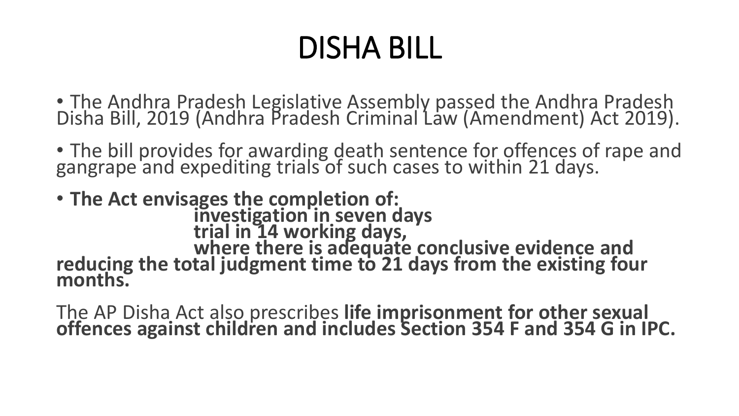# DISHA BILL

• The Andhra Pradesh Legislative Assembly passed the Andhra Pradesh Disha Bill, 2019 (Andhra Pradesh Criminal Law (Amendment) Act 2019).

• The bill provides for awarding death sentence for offences of rape and gangrape and expediting trials of such cases to within 21 days.

• **The Act envisages the completion of: investigation in seven days trial in 14 working days, where there is adequate conclusive evidence and reducing the total judgment time to 21 days from the existing four months.** 

The AP Disha Act also prescribes **life imprisonment for other sexual offences against children and includes Section 354 F and 354 G in IPC.**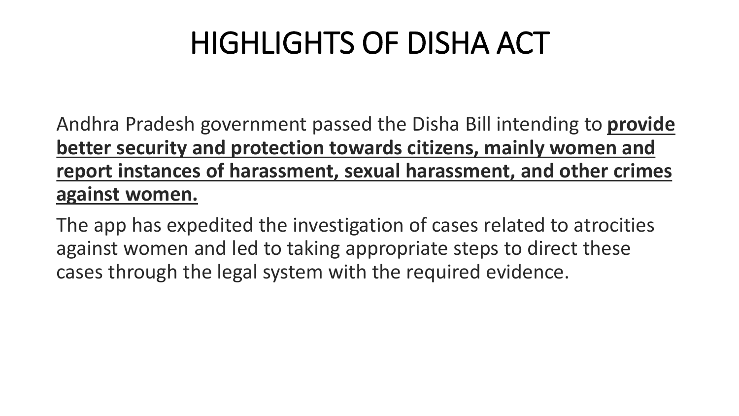# HIGHLIGHTS OF DISHA ACT

Andhra Pradesh government passed the Disha Bill intending to **provide better security and protection towards citizens, mainly women and report instances of harassment, sexual harassment, and other crimes against women.**

The app has expedited the investigation of cases related to atrocities against women and led to taking appropriate steps to direct these cases through the legal system with the required evidence.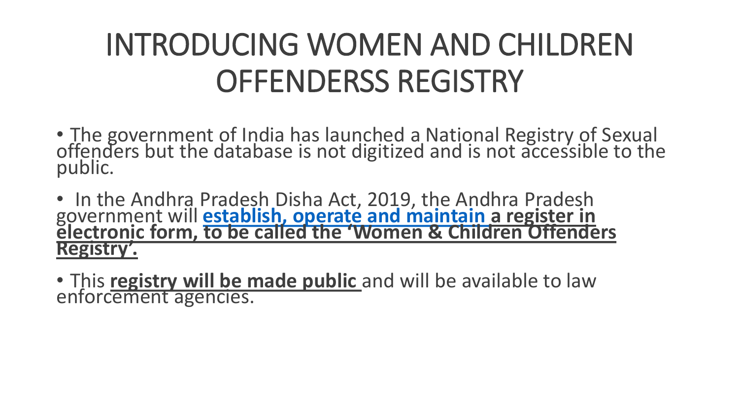# INTRODUCING WOMEN AND CHILDREN OFFENDERSS REGISTRY

- The government of India has launched a National Registry of Sexual offenders but the database is not digitized and is not accessible to the public.
- In the Andhra Pradesh Disha Act, 2019, the Andhra Pradesh government will **[establish, operate and maintain](https://indianexpress.com/article/india/andhra-to-make-list-of-sexual-offenders-public-disha-bill-6165983/) a register in electronic form, to be called the 'Women & Children Offenders Registry'.**
- This **registry will be made public** and will be available to law enforcement agencies.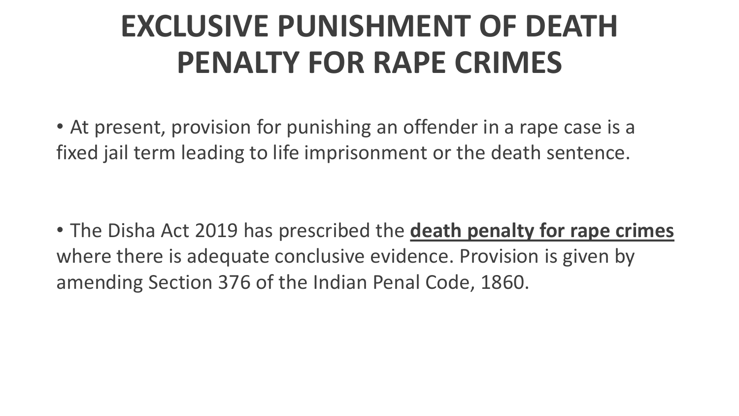# **EXCLUSIVE PUNISHMENT OF DEATH PENALTY FOR RAPE CRIMES**

• At present, provision for punishing an offender in a rape case is a fixed jail term leading to life imprisonment or the death sentence.

• The Disha Act 2019 has prescribed the **death penalty for rape crimes**  where there is adequate conclusive evidence. Provision is given by amending Section 376 of the Indian Penal Code, 1860.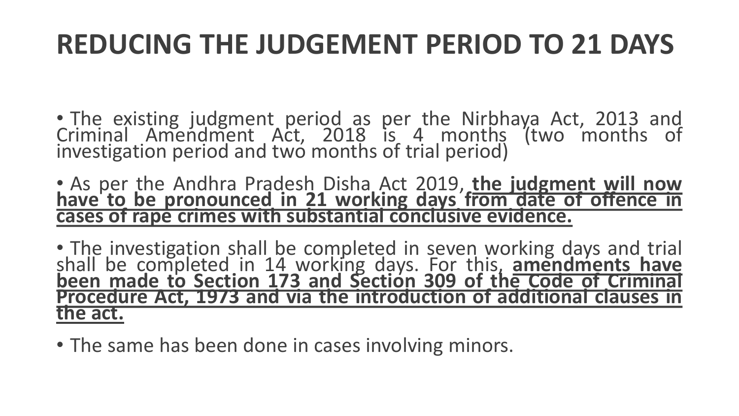#### **REDUCING THE JUDGEMENT PERIOD TO 21 DAYS**

- The existing judgment period as per the Nirbhaya Act, 2013 and Criminal Amendment Act, 2018 is 4 months (two months of investigation period and two months of trial period)
- As per the Andhra Pradesh Disha Act 2019, **the judgment will now have to be pronounced in 21 working days from date of offence in cases of rape crimes with substantial conclusive evidence.**

• The investigation shall be completed in seven working days and trial shall be completed in 14 working days. For this, **amendments have been made to Section 173 and Section 309 of the Code of Criminal Procedure Act, 1973 and via the introduction of additional clauses in the act.**

• The same has been done in cases involving minors.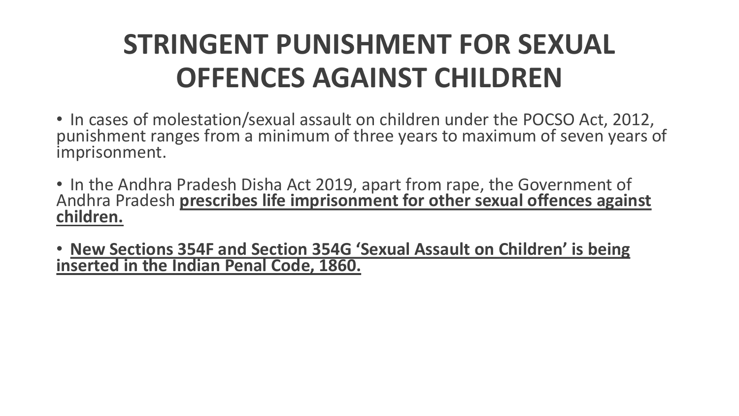#### **STRINGENT PUNISHMENT FOR SEXUAL OFFENCES AGAINST CHILDREN**

- In cases of molestation/sexual assault on children under the POCSO Act, 2012, punishment ranges from a minimum of three years to maximum of seven years of imprisonment.
- In the Andhra Pradesh Disha Act 2019, apart from rape, the Government of Andhra Pradesh **prescribes life imprisonment for other sexual offences against children.**
- **New Sections 354F and Section 354G 'Sexual Assault on Children' is being inserted in the Indian Penal Code, 1860.**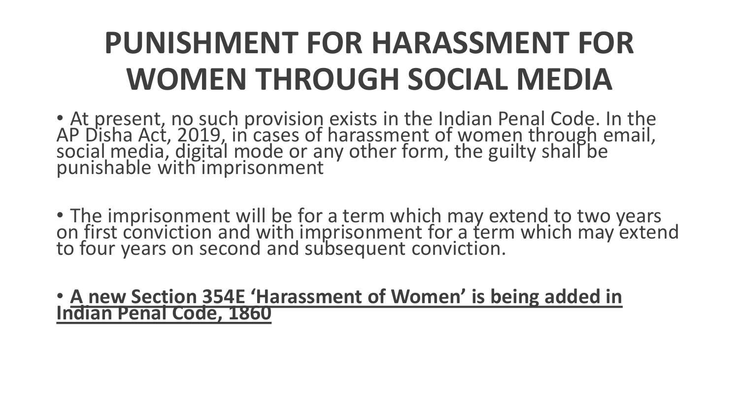# **PUNISHMENT FOR HARASSMENT FOR WOMEN THROUGH SOCIAL MEDIA**

• At present, no such provision exists in the Indian Penal Code. In the AP Disha Act, 2019, in cases of harassment of women through email, social media, digital mode or any other form, the guilty shall be punishable with imprisonment

• The imprisonment will be for a term which may extend to two years on first conviction and with imprisonment for a term which may extend to four years on second and subsequent conviction.

#### • **A new Section 354E 'Harassment of Women' is being added in Indian Penal Code, 1860**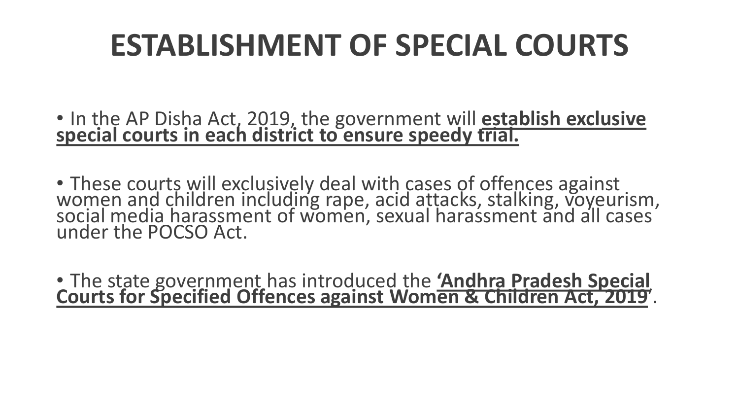# **ESTABLISHMENT OF SPECIAL COURTS**

- In the AP Disha Act, 2019, the government will **establish exclusive special courts in each district to ensure speedy trial.**
- These courts will exclusively deal with cases of offences against women and children including rape, acid attacks, stalking, voyeurism, social media harassment of women, sexual harassment and all cases under the POCSO Act.
- The state government has introduced the **'Andhra Pradesh Special Courts for Specified Offences against Women & Children Act, 2019**′.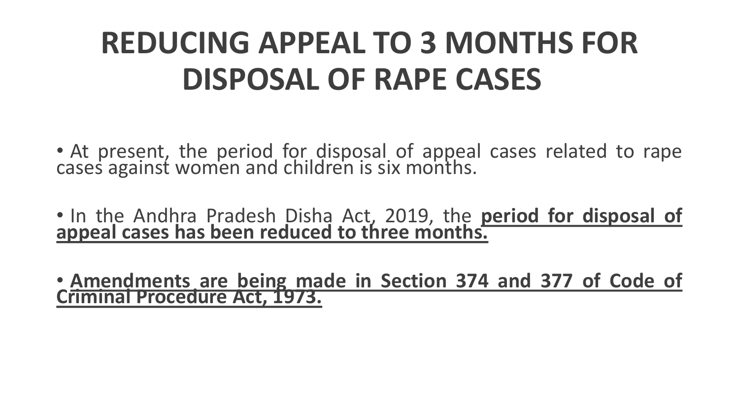# **REDUCING APPEAL TO 3 MONTHS FOR DISPOSAL OF RAPE CASES**

- At present, the period for disposal of appeal cases related to rape cases against women and children is six months.
- In the Andhra Pradesh Disha Act, 2019, the **period for disposal of appeal cases has been reduced to three months.**

• **Amendments are being made in Section 374 and 377 of Code of Criminal Procedure Act, 1973.**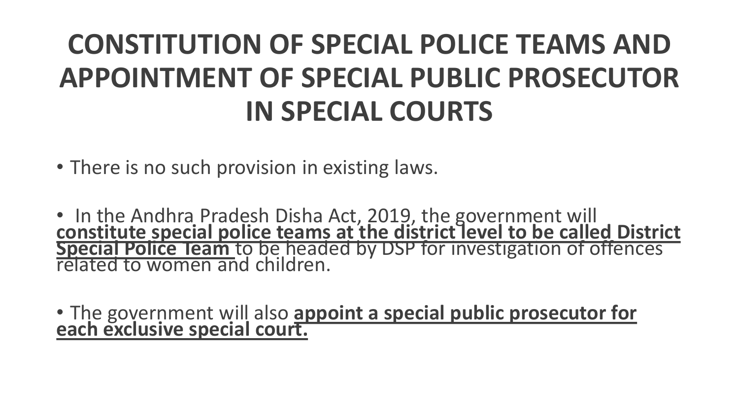#### **CONSTITUTION OF SPECIAL POLICE TEAMS AND APPOINTMENT OF SPECIAL PUBLIC PROSECUTOR IN SPECIAL COURTS**

• There is no such provision in existing laws.

• In the Andhra Pradesh Disha Act, 2019, the government will **constitute special police teams at the district level to be called District Special Police Team** to be headed by DSP for investigation of offences related to women and children.

• The government will also **appoint a special public prosecutor for each exclusive special court.**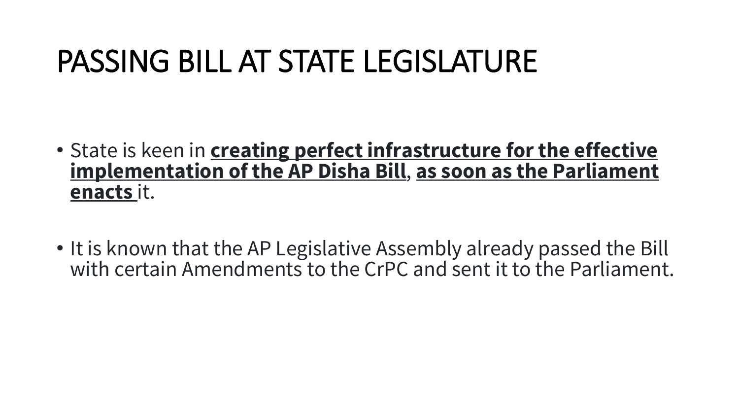### PASSING BILL AT STATE LEGISLATURE

- State is keen in **creating perfect infrastructure for the effective implementation of the AP Disha Bill**, **as soon as the Parliament enacts** it.
- It is known that the AP Legislative Assembly already passed the Bill with certain Amendments to the CrPC and sent it to the Parliament.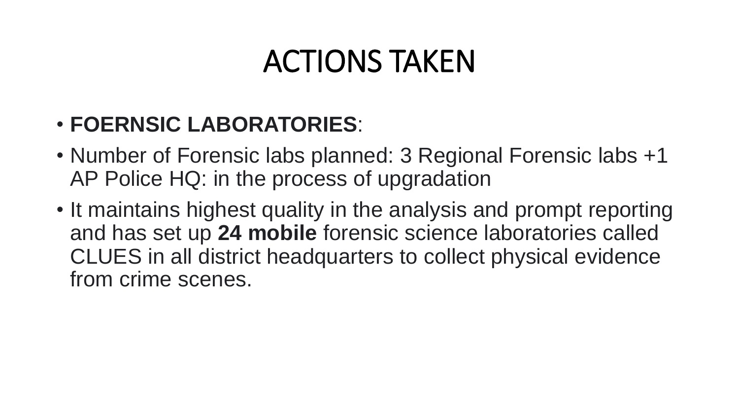#### ACTIONS TAKEN

#### • **FOERNSIC LABORATORIES**:

- Number of Forensic labs planned: 3 Regional Forensic labs +1 AP Police HQ: in the process of upgradation
- It maintains highest quality in the analysis and prompt reporting and has set up **24 mobile** forensic science laboratories called CLUES in all district headquarters to collect physical evidence from crime scenes.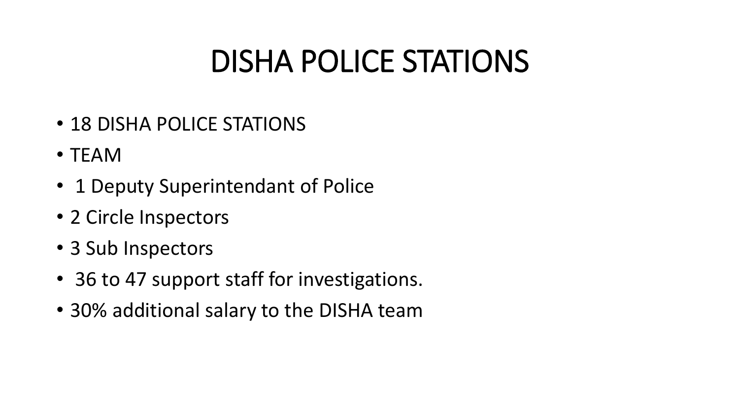#### DISHA POLICE STATIONS

- 18 DISHA POLICE STATIONS
- TEAM
- 1 Deputy Superintendant of Police
- 2 Circle Inspectors
- 3 Sub Inspectors
- 36 to 47 support staff for investigations.
- 30% additional salary to the DISHA team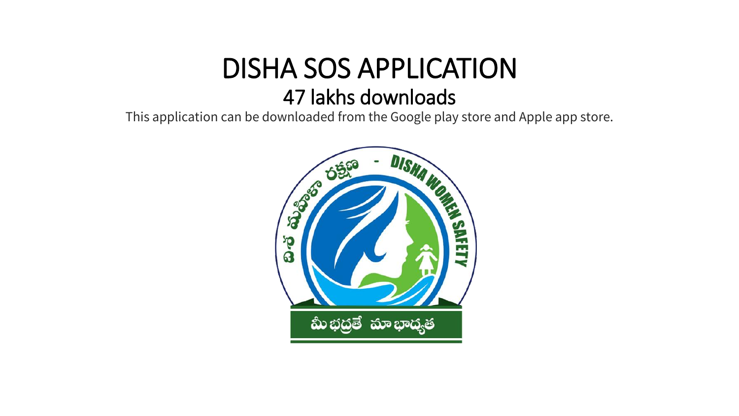#### DISHA SOS APPLICATION 47 lakhs downloads

This application can be downloaded from the Google play store and Apple app store.

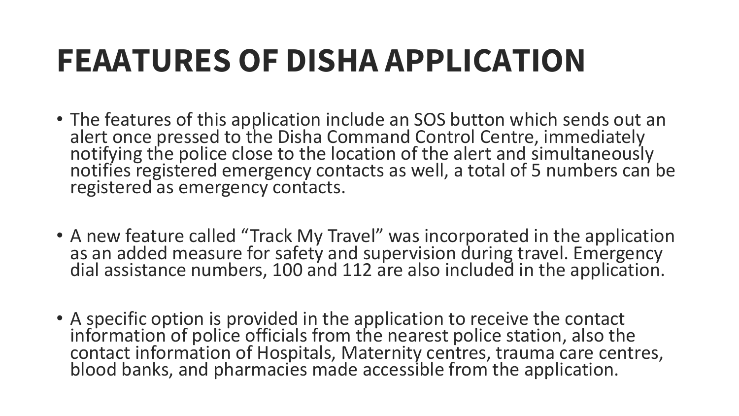# **FEAATURES OF DISHA APPLICATION**

- The features of this application include an SOS button which sends out an alert once pressed to the Disha Command Control Centre, immediately notifying the police close to the location of the alert and simultaneously notifies registered emergency contacts as well, a total of 5 numbers can be registered as emergency contacts.
- A new feature called "Track My Travel" was incorporated in the application as an added measure for safety and supervision during travel. Emergency dial assistance numbers, 100 and 112 are also included in the application.
- A specific option is provided in the application to receive the contact information of police officials from the nearest police station, also the contact information of Hospitals, Maternity centres, trauma care centres, blood banks, and pharmacies made accessible from the application.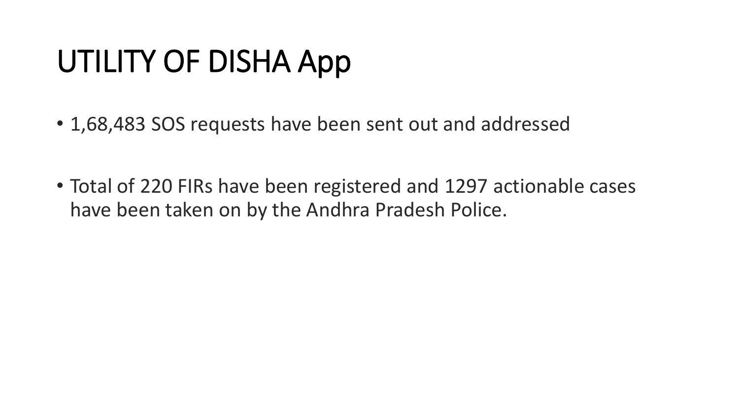# UTILITY OF DISHA App

- 1,68,483 SOS requests have been sent out and addressed
- Total of 220 FIRs have been registered and 1297 actionable cases have been taken on by the Andhra Pradesh Police.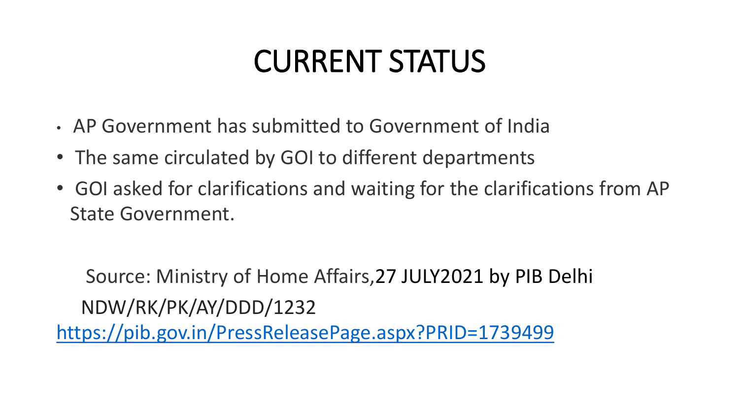### CURRENT STATUS

- AP Government has submitted to Government of India
- The same circulated by GOI to different departments
- GOI asked for clarifications and waiting for the clarifications from AP State Government.

Source: Ministry of Home Affairs,27 JULY2021 by PIB Delhi NDW/RK/PK/AY/DDD/1232 <https://pib.gov.in/PressReleasePage.aspx?PRID=1739499>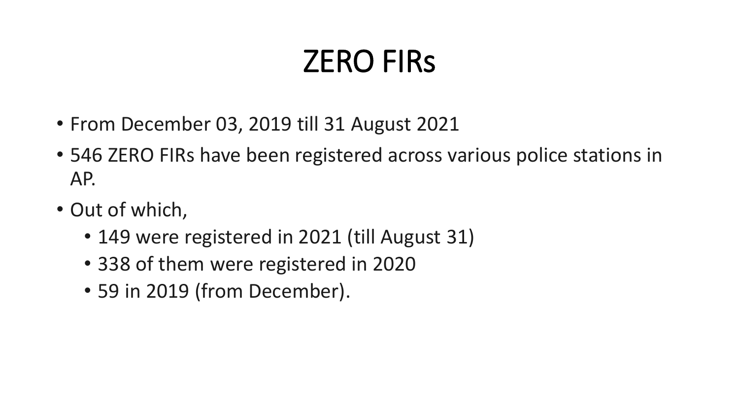### ZERO FIRs

- From December 03, 2019 till 31 August 2021
- 546 ZERO FIRs have been registered across various police stations in AP.
- Out of which,
	- 149 were registered in 2021 (till August 31)
	- 338 of them were registered in 2020
	- 59 in 2019 (from December).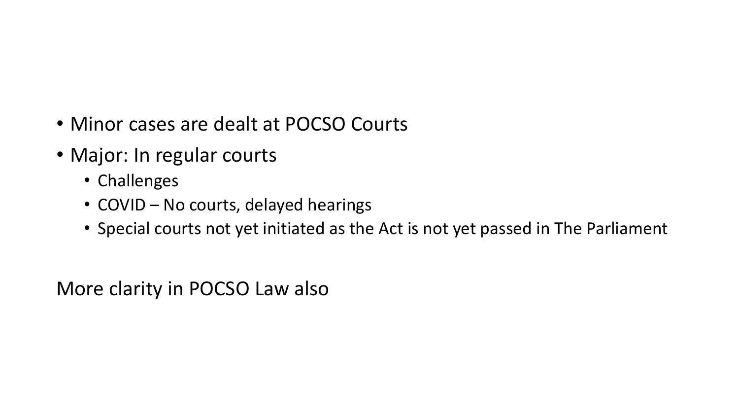- Minor cases are dealt at POCSO Courts
- Major: In regular courts
	- Challenges
	- COVID No courts, delayed hearings
	- Special courts not yet initiated as the Act is not yet passed in The Parliament

More clarity in POCSO Law also